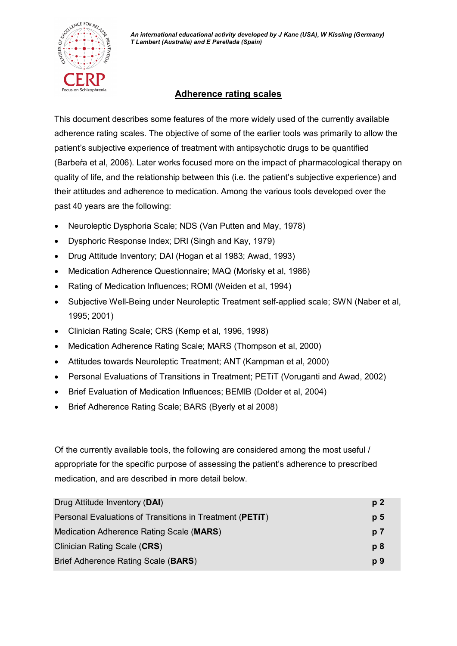

## **Adherence rating scales**

This document describes some features of the more widely used of the currently available adherence rating scales. The objective of some of the earlier tools was primarily to allow the patient's subjective experience of treatment with antipsychotic drugs to be quantified (Barbeŕa et al, 2006). Later works focused more on the impact of pharmacological therapy on quality of life, and the relationship between this (i.e. the patient's subjective experience) and their attitudes and adherence to medication. Among the various tools developed over the past 40 years are the following:

- Neuroleptic Dysphoria Scale; NDS (Van Putten and May, 1978)
- · Dysphoric Response Index; DRI (Singh and Kay, 1979)
- · Drug Attitude Inventory; DAI (Hogan et al 1983; Awad, 1993)
- · Medication Adherence Questionnaire; MAQ (Morisky et al, 1986)
- · Rating of Medication Influences; ROMI (Weiden et al, 1994)
- · Subjective Well-Being under Neuroleptic Treatment self-applied scale; SWN (Naber et al, 1995; 2001)
- · Clinician Rating Scale; CRS (Kemp et al, 1996, 1998)
- · Medication Adherence Rating Scale; MARS (Thompson et al, 2000)
- · Attitudes towards Neuroleptic Treatment; ANT (Kampman et al, 2000)
- · Personal Evaluations of Transitions in Treatment; PETiT (Voruganti and Awad, 2002)
- · Brief Evaluation of Medication Influences; BEMIB (Dolder et al, 2004)
- Brief Adherence Rating Scale; BARS (Byerly et al 2008)

Of the currently available tools, the following are considered among the most useful / appropriate for the specific purpose of assessing the patient's adherence to prescribed medication, and are described in more detail below.

| Drug Attitude Inventory (DAI)                            | p <sub>2</sub> |
|----------------------------------------------------------|----------------|
| Personal Evaluations of Transitions in Treatment (PETIT) | p <sub>5</sub> |
| Medication Adherence Rating Scale (MARS)                 | p <sub>7</sub> |
| Clinician Rating Scale (CRS)                             | p8             |
| Brief Adherence Rating Scale (BARS)                      | p 9            |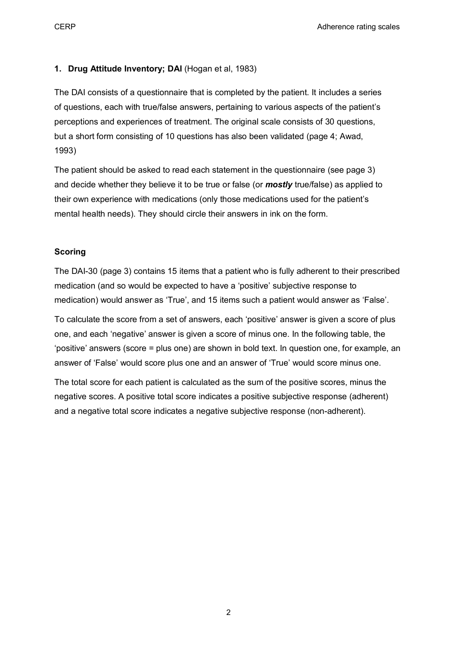**CERP CERP Adherence rating scales** *CERP* **Adherence rating scales** 

## **1. Drug Attitude Inventory; DAI** (Hogan et al, 1983)

The DAI consists of a questionnaire that is completed by the patient. It includes a series of questions, each with true/false answers, pertaining to various aspects of the patient's perceptions and experiences of treatment. The original scale consists of 30 questions, but a short form consisting of 10 questions has also been validated (page 4; Awad, 1993)

The patient should be asked to read each statement in the questionnaire (see page 3) and decide whether they believe it to be true or false (or *mostly* true/false) as applied to their own experience with medications (only those medications used for the patient's mental health needs). They should circle their answers in ink on the form.

## **Scoring**

The DAI-30 (page 3) contains 15 items that a patient who is fully adherent to their prescribed medication (and so would be expected to have a 'positive' subjective response to medication) would answer as 'True', and 15 items such a patient would answer as 'False'.

To calculate the score from a set of answers, each 'positive' answer is given a score of plus one, and each 'negative' answer is given a score of minus one. In the following table, the 'positive' answers (score = plus one) are shown in bold text. In question one, for example, an answer of 'False' would score plus one and an answer of 'True' would score minus one.

The total score for each patient is calculated as the sum of the positive scores, minus the negative scores. A positive total score indicates a positive subjective response (adherent) and a negative total score indicates a negative subjective response (non-adherent).

2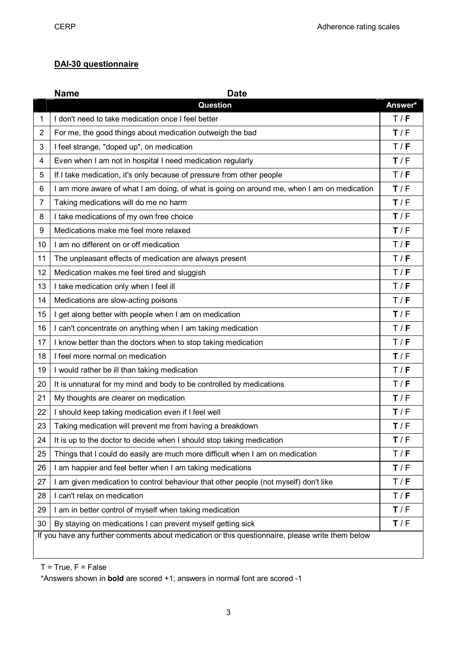## **DAI-30 questionnaire**

|                                                                                                  | <b>Name</b><br><b>Date</b>                                                                 |         |  |
|--------------------------------------------------------------------------------------------------|--------------------------------------------------------------------------------------------|---------|--|
|                                                                                                  | <b>Question</b>                                                                            | Answer* |  |
| 1                                                                                                | I don't need to take medication once I feel better                                         | T/F     |  |
| $\overline{2}$                                                                                   | For me, the good things about medication outweigh the bad                                  | T/F     |  |
| 3                                                                                                | I feel strange, "doped up", on medication                                                  | T/F     |  |
| 4                                                                                                | Even when I am not in hospital I need medication regularly                                 | T/F     |  |
| 5                                                                                                | If I take medication, it's only because of pressure from other people                      | T / F   |  |
| 6                                                                                                | I am more aware of what I am doing, of what is going on around me, when I am on medication | T/F     |  |
| $\overline{7}$                                                                                   | Taking medications will do me no harm                                                      | T/F     |  |
| 8                                                                                                | I take medications of my own free choice                                                   | T/F     |  |
| 9                                                                                                | Medications make me feel more relaxed                                                      | T/F     |  |
| 10                                                                                               | I am no different on or off medication                                                     | T/F     |  |
| 11                                                                                               | The unpleasant effects of medication are always present                                    | T / F   |  |
| 12                                                                                               | Medication makes me feel tired and sluggish                                                | T / F   |  |
| 13                                                                                               | I take medication only when I feel ill                                                     | T / F   |  |
| 14                                                                                               | Medications are slow-acting poisons                                                        | T/F     |  |
| 15                                                                                               | get along better with people when I am on medication                                       | T/F     |  |
| 16                                                                                               | I can't concentrate on anything when I am taking medication                                | T/F     |  |
| 17                                                                                               | I know better than the doctors when to stop taking medication                              | T/F     |  |
| 18                                                                                               | I feel more normal on medication                                                           | T/F     |  |
| 19                                                                                               | I would rather be ill than taking medication                                               | T/F     |  |
| 20                                                                                               | It is unnatural for my mind and body to be controlled by medications                       | T/F     |  |
| 21                                                                                               | My thoughts are clearer on medication                                                      | T/F     |  |
| 22                                                                                               | I should keep taking medication even if I feel well                                        | T/F     |  |
| 23                                                                                               | Taking medication will prevent me from having a breakdown                                  | T/F     |  |
| 24                                                                                               | It is up to the doctor to decide when I should stop taking medication                      | T/F     |  |
| 25                                                                                               | Things that I could do easily are much more difficult when I am on medication              | T/F     |  |
| 26                                                                                               | I am happier and feel better when I am taking medications                                  | T/F     |  |
| 27                                                                                               | I am given medication to control behaviour that other people (not myself) don't like       | T/F     |  |
| 28                                                                                               | I can't relax on medication                                                                | T/F     |  |
| 29                                                                                               | I am in better control of myself when taking medication                                    | T/F     |  |
| 30                                                                                               | By staying on medications I can prevent myself getting sick                                | T/F     |  |
| If you have any further comments about medication or this questionnaire, please write them below |                                                                                            |         |  |
|                                                                                                  |                                                                                            |         |  |

 $T = True, F = False$ 

\*Answers shown in **bold** are scored +1; answers in normal font are scored -1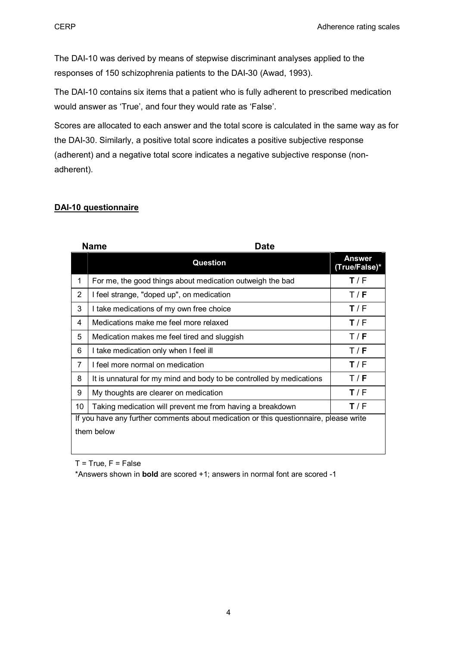The DAI-10 was derived by means of stepwise discriminant analyses applied to the responses of 150 schizophrenia patients to the DAI-30 (Awad, 1993).

The DAI-10 contains six items that a patient who is fully adherent to prescribed medication would answer as 'True', and four they would rate as 'False'.

Scores are allocated to each answer and the total score is calculated in the same way as for the DAI-30. Similarly, a positive total score indicates a positive subjective response (adherent) and a negative total score indicates a negative subjective response (nonadherent).

## **DAI-10 questionnaire**

|                                                                                       | <b>Name</b><br>Date                                                  |                                |
|---------------------------------------------------------------------------------------|----------------------------------------------------------------------|--------------------------------|
|                                                                                       | <b>Question</b>                                                      | <b>Answer</b><br>(True/False)* |
| 1                                                                                     | For me, the good things about medication outweigh the bad            | T/F                            |
| 2                                                                                     | I feel strange, "doped up", on medication                            | T/F                            |
| 3                                                                                     | I take medications of my own free choice                             | T/F                            |
| 4                                                                                     | Medications make me feel more relaxed                                | T/F                            |
| 5                                                                                     | Medication makes me feel tired and sluggish                          | T/F                            |
| 6                                                                                     | I take medication only when I feel ill                               | T/F                            |
| 7                                                                                     | I feel more normal on medication                                     | T/F                            |
| 8                                                                                     | It is unnatural for my mind and body to be controlled by medications | T/F                            |
| 9                                                                                     | My thoughts are clearer on medication                                | T/F                            |
| 10                                                                                    | Taking medication will prevent me from having a breakdown            | T/F                            |
| If you have any further comments about medication or this questionnaire, please write |                                                                      |                                |
|                                                                                       | them below                                                           |                                |

 $T = True, F = False$ 

\*Answers shown in **bold** are scored +1; answers in normal font are scored -1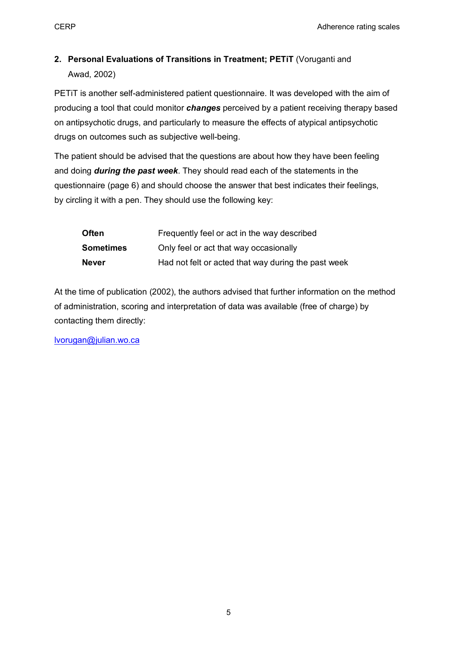# **2. Personal Evaluations of Transitions in Treatment; PETiT** (Voruganti and Awad, 2002)

PETiT is another self-administered patient questionnaire. It was developed with the aim of producing a tool that could monitor *changes* perceived by a patient receiving therapy based on antipsychotic drugs, and particularly to measure the effects of atypical antipsychotic drugs on outcomes such as subjective well-being.

The patient should be advised that the questions are about how they have been feeling and doing *during the past week*. They should read each of the statements in the questionnaire (page 6) and should choose the answer that best indicates their feelings, by circling it with a pen. They should use the following key:

| <b>Often</b>     | Frequently feel or act in the way described         |
|------------------|-----------------------------------------------------|
| <b>Sometimes</b> | Only feel or act that way occasionally              |
| <b>Never</b>     | Had not felt or acted that way during the past week |

At the time of publication (2002), the authors advised that further information on the method of administration, scoring and interpretation of data was available (free of charge) by contacting them directly:

lvorugan@julian.wo.ca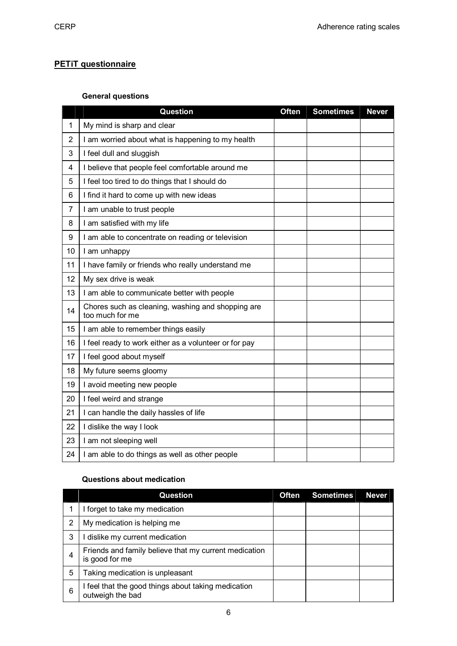## **PETiT questionnaire**

## **General questions**

|                | <b>Question</b>                                                      | Often | <b>Sometimes</b> | <b>Never</b> |
|----------------|----------------------------------------------------------------------|-------|------------------|--------------|
| 1              | My mind is sharp and clear                                           |       |                  |              |
| $\overline{2}$ | I am worried about what is happening to my health                    |       |                  |              |
| 3              | I feel dull and sluggish                                             |       |                  |              |
| 4              | I believe that people feel comfortable around me                     |       |                  |              |
| 5              | I feel too tired to do things that I should do                       |       |                  |              |
| 6              | I find it hard to come up with new ideas                             |       |                  |              |
| $\overline{7}$ | I am unable to trust people                                          |       |                  |              |
| 8              | I am satisfied with my life                                          |       |                  |              |
| 9              | I am able to concentrate on reading or television                    |       |                  |              |
| 10             | I am unhappy                                                         |       |                  |              |
| 11             | I have family or friends who really understand me                    |       |                  |              |
| 12             | My sex drive is weak                                                 |       |                  |              |
| 13             | I am able to communicate better with people                          |       |                  |              |
| 14             | Chores such as cleaning, washing and shopping are<br>too much for me |       |                  |              |
| 15             | I am able to remember things easily                                  |       |                  |              |
| 16             | I feel ready to work either as a volunteer or for pay                |       |                  |              |
| 17             | I feel good about myself                                             |       |                  |              |
| 18             | My future seems gloomy                                               |       |                  |              |
| 19             | I avoid meeting new people                                           |       |                  |              |
| 20             | I feel weird and strange                                             |       |                  |              |
| 21             | I can handle the daily hassles of life                               |       |                  |              |
| 22             | I dislike the way I look                                             |       |                  |              |
| 23             | I am not sleeping well                                               |       |                  |              |
| 24             | I am able to do things as well as other people                       |       |                  |              |

#### **Questions about medication**

|   | <b>Question</b>                                                         | <b>Often</b> | <b>Sometimes</b> | <b>Never</b> |
|---|-------------------------------------------------------------------------|--------------|------------------|--------------|
|   | I forget to take my medication                                          |              |                  |              |
| 2 | My medication is helping me                                             |              |                  |              |
| 3 | dislike my current medication                                           |              |                  |              |
| 4 | Friends and family believe that my current medication<br>is good for me |              |                  |              |
| 5 | Taking medication is unpleasant                                         |              |                  |              |
| 6 | I feel that the good things about taking medication<br>outweigh the bad |              |                  |              |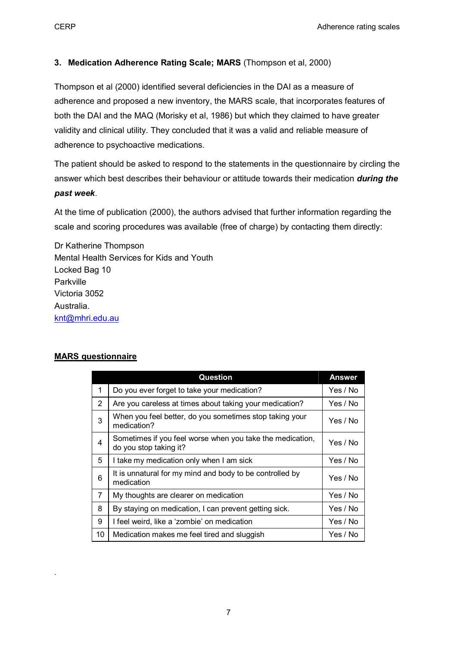## **3. Medication Adherence Rating Scale; MARS** (Thompson et al, 2000)

Thompson et al (2000) identified several deficiencies in the DAI as a measure of adherence and proposed a new inventory, the MARS scale, that incorporates features of both the DAI and the MAQ (Morisky et al, 1986) but which they claimed to have greater validity and clinical utility. They concluded that it was a valid and reliable measure of adherence to psychoactive medications.

The patient should be asked to respond to the statements in the questionnaire by circling the answer which best describes their behaviour or attitude towards their medication *during the past week*.

At the time of publication (2000), the authors advised that further information regarding the scale and scoring procedures was available (free of charge) by contacting them directly:

Dr Katherine Thompson Mental Health Services for Kids and Youth Locked Bag 10 Parkville Victoria 3052 Australia. knt@mhri.edu.au

#### **MARS questionnaire**

.

|                | <b>Question</b>                                                                     | <b>Answer</b> |
|----------------|-------------------------------------------------------------------------------------|---------------|
| 1              | Do you ever forget to take your medication?                                         | Yes / No      |
| $\overline{2}$ | Are you careless at times about taking your medication?                             | Yes / No      |
| 3              | When you feel better, do you sometimes stop taking your<br>medication?              | Yes / No      |
| 4              | Sometimes if you feel worse when you take the medication,<br>do you stop taking it? | Yes / No      |
| 5              | I take my medication only when I am sick                                            | Yes / No      |
| 6              | It is unnatural for my mind and body to be controlled by<br>medication              | Yes / No      |
| $\overline{7}$ | My thoughts are clearer on medication                                               | Yes / No      |
| 8              | By staying on medication, I can prevent getting sick.                               | Yes / No      |
| 9              | I feel weird, like a 'zombie' on medication                                         | Yes / No      |
| 10             | Medication makes me feel tired and sluggish                                         | Yes / No      |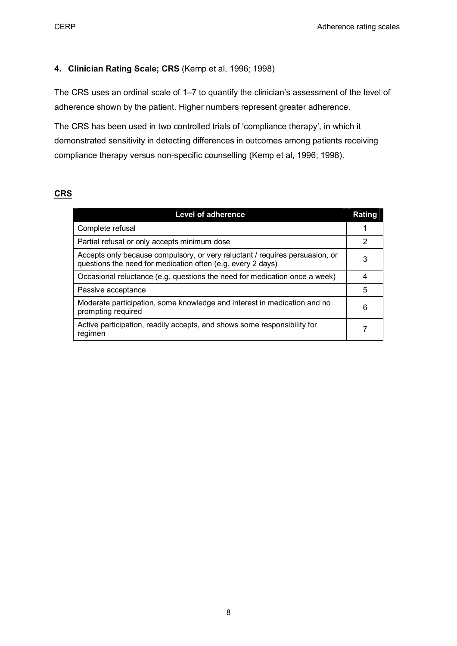### **4. Clinician Rating Scale; CRS** (Kemp et al, 1996; 1998)

The CRS uses an ordinal scale of 1–7 to quantify the clinician's assessment of the level of adherence shown by the patient. Higher numbers represent greater adherence.

The CRS has been used in two controlled trials of 'compliance therapy', in which it demonstrated sensitivity in detecting differences in outcomes among patients receiving compliance therapy versus non-specific counselling (Kemp et al, 1996; 1998).

## **CRS**

| <b>Level of adherence</b>                                                                                                                   | Rating |
|---------------------------------------------------------------------------------------------------------------------------------------------|--------|
| Complete refusal                                                                                                                            |        |
| Partial refusal or only accepts minimum dose                                                                                                | 2      |
| Accepts only because compulsory, or very reluctant / requires persuasion, or<br>questions the need for medication often (e.g. every 2 days) | 3      |
| Occasional reluctance (e.g. questions the need for medication once a week)                                                                  | 4      |
| Passive acceptance                                                                                                                          | 5      |
| Moderate participation, some knowledge and interest in medication and no<br>prompting required                                              | 6      |
| Active participation, readily accepts, and shows some responsibility for<br>regimen                                                         | 7      |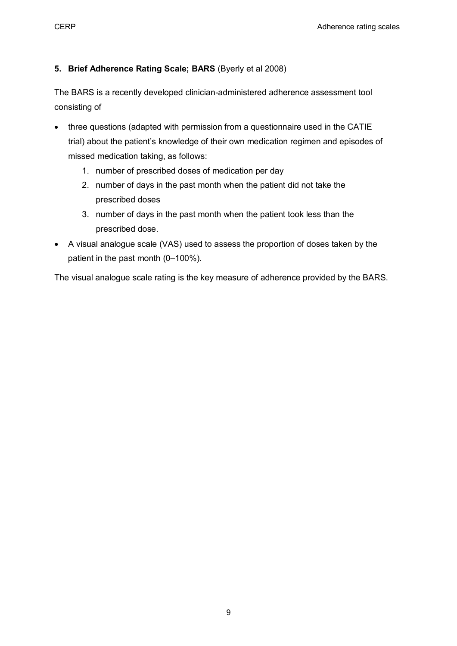## **5. Brief Adherence Rating Scale; BARS** (Byerly et al 2008)

The BARS is a recently developed clinician-administered adherence assessment tool consisting of

- · three questions (adapted with permission from a questionnaire used in the CATIE trial) about the patient's knowledge of their own medication regimen and episodes of missed medication taking, as follows:
	- 1. number of prescribed doses of medication per day
	- 2. number of days in the past month when the patient did not take the prescribed doses
	- 3. number of days in the past month when the patient took less than the prescribed dose.
- · A visual analogue scale (VAS) used to assess the proportion of doses taken by the patient in the past month (0–100%).

The visual analogue scale rating is the key measure of adherence provided by the BARS.